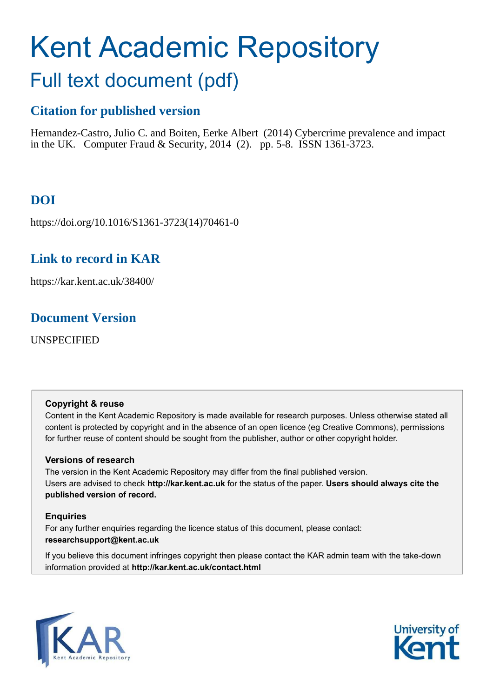# Kent Academic Repository

## Full text document (pdf)

## **Citation for published version**

Hernandez-Castro, Julio C. and Boiten, Eerke Albert (2014) Cybercrime prevalence and impact in the UK. Computer Fraud & Security, 2014 (2). pp. 5-8. ISSN 1361-3723.

## **DOI**

https://doi.org/10.1016/S1361-3723(14)70461-0

## **Link to record in KAR**

https://kar.kent.ac.uk/38400/

### **Document Version**

UNSPECIFIED

#### **Copyright & reuse**

Content in the Kent Academic Repository is made available for research purposes. Unless otherwise stated all content is protected by copyright and in the absence of an open licence (eg Creative Commons), permissions for further reuse of content should be sought from the publisher, author or other copyright holder.

#### **Versions of research**

The version in the Kent Academic Repository may differ from the final published version. Users are advised to check **http://kar.kent.ac.uk** for the status of the paper. **Users should always cite the published version of record.**

#### **Enquiries**

For any further enquiries regarding the licence status of this document, please contact: **researchsupport@kent.ac.uk**

If you believe this document infringes copyright then please contact the KAR admin team with the take-down information provided at **http://kar.kent.ac.uk/contact.html**



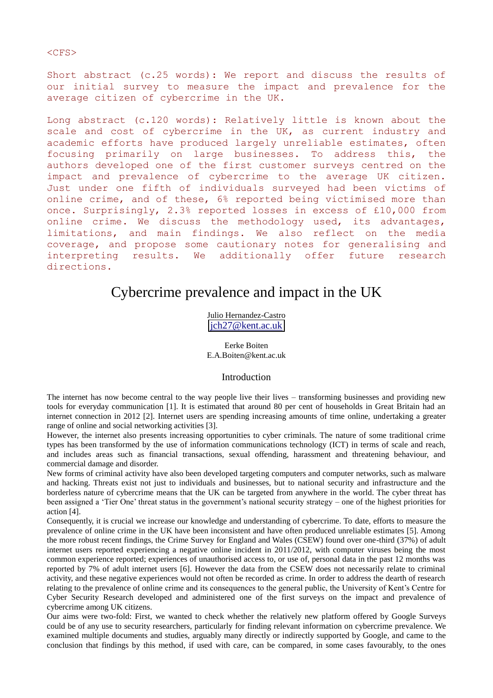#### Short abstract (c.25 words): We report and discuss the results of our initial survey to measure the impact and prevalence for the average citizen of cybercrime in the UK.

Long abstract (c.120 words): Relatively little is known about the scale and cost of cybercrime in the UK, as current industry and academic efforts have produced largely unreliable estimates, often focusing primarily on large businesses. To address this, the authors developed one of the first customer surveys centred on the impact and prevalence of cybercrime to the average UK citizen. Just under one fifth of individuals surveyed had been victims of online crime, and of these, 6% reported being victimised more than once. Surprisingly, 2.3% reported losses in excess of £10,000 from online crime. We discuss the methodology used, its advantages, limitations, and main findings. We also reflect on the media coverage, and propose some cautionary notes for generalising and interpreting results. We additionally offer future research directions.

## Cybercrime prevalence and impact in the UK

Julio Hernandez-Castro [jch27@kent.ac.uk](mailto:jch27@kent.ac.uk)

Eerke Boiten E.A.Boiten@kent.ac.uk

#### Introduction

The internet has now become central to the way people live their lives – transforming businesses and providing new tools for everyday communication [1]. It is estimated that around 80 per cent of households in Great Britain had an internet connection in 2012 [2]. Internet users are spending increasing amounts of time online, undertaking a greater range of online and social networking activities [3].

However, the internet also presents increasing opportunities to cyber criminals. The nature of some traditional crime types has been transformed by the use of information communications technology (ICT) in terms of scale and reach, and includes areas such as financial transactions, sexual offending, harassment and threatening behaviour, and commercial damage and disorder.

New forms of criminal activity have also been developed targeting computers and computer networks, such as malware and hacking. Threats exist not just to individuals and businesses, but to national security and infrastructure and the borderless nature of cybercrime means that the UK can be targeted from anywhere in the world. The cyber threat has been assigned a 'Tier One' threat status in the government's national security strategy – one of the highest priorities for action [4].

Consequently, it is crucial we increase our knowledge and understanding of cybercrime. To date, efforts to measure the prevalence of online crime in the UK have been inconsistent and have often produced unreliable estimates [5]. Among the more robust recent findings, the Crime Survey for England and Wales (CSEW) found over one-third (37%) of adult internet users reported experiencing a negative online incident in 2011/2012, with computer viruses being the most common experience reported; experiences of unauthorised access to, or use of, personal data in the past 12 months was reported by 7% of adult internet users [6]. However the data from the CSEW does not necessarily relate to criminal activity, and these negative experiences would not often be recorded as crime. In order to address the dearth of research relating to the prevalence of online crime and its consequences to the general public, the University of Kent's Centre for Cyber Security Research developed and administered one of the first surveys on the impact and prevalence of cybercrime among UK citizens.

Our aims were two-fold: First, we wanted to check whether the relatively new platform offered by Google Surveys could be of any use to security researchers, particularly for finding relevant information on cybercrime prevalence. We examined multiple documents and studies, arguably many directly or indirectly supported by Google, and came to the conclusion that findings by this method, if used with care, can be compared, in some cases favourably, to the ones

#### $<$ CFS $>$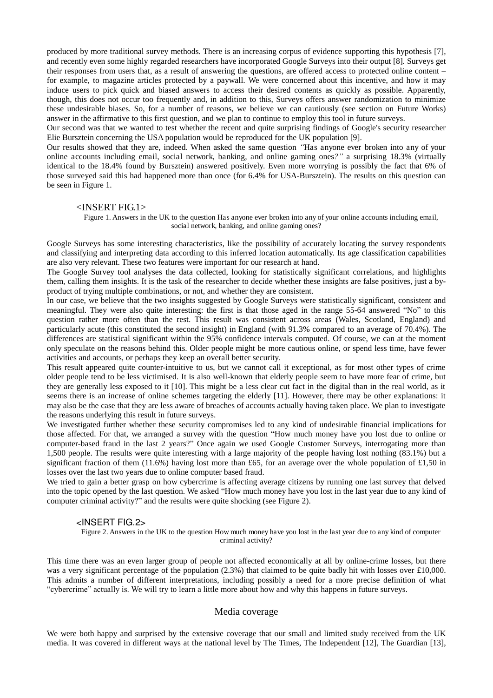produced by more traditional survey methods. There is an increasing corpus of evidence supporting this hypothesis [7], and recently even some highly regarded researchers have incorporated Google Surveys into their output [8]. Surveys get their responses from users that, as a result of answering the questions, are offered access to protected online content – for example, to magazine articles protected by a paywall. We were concerned about this incentive, and how it may induce users to pick quick and biased answers to access their desired contents as quickly as possible. Apparently, though, this does not occur too frequently and, in addition to this, Surveys offers answer randomization to minimize these undesirable biases. So, for a number of reasons, we believe we can cautiously (see section on Future Works) answer in the affirmative to this first question, and we plan to continue to employ this tool in future surveys.

Our second was that we wanted to test whether the recent and quite surprising findings of Google's security researcher Elie Bursztein concerning the USA population would be reproduced for the UK population [9].

Our results showed that they are, indeed. When asked the same question *"*Has anyone ever broken into any of your online accounts including email, social network, banking, and online gaming ones*?"* a surprising 18.3% (virtually identical to the 18.4% found by Bursztein) answered positively. Even more worrying is possibly the fact that 6% of those surveyed said this had happened more than once (for 6.4% for USA-Bursztein). The results on this question can be seen in Figure 1.

#### <INSERT FIG.1>

Figure 1. Answers in the UK to the question Has anyone ever broken into any of your online accounts including email, social network, banking, and online gaming ones?

Google Surveys has some interesting characteristics, like the possibility of accurately locating the survey respondents and classifying and interpreting data according to this inferred location automatically. Its age classification capabilities are also very relevant. These two features were important for our research at hand.

The Google Survey tool analyses the data collected, looking for statistically significant correlations, and highlights them, calling them insights. It is the task of the researcher to decide whether these insights are false positives, just a byproduct of trying multiple combinations, or not, and whether they are consistent.

In our case, we believe that the two insights suggested by Google Surveys were statistically significant, consistent and meaningful. They were also quite interesting: the first is that those aged in the range 55-64 answered "No" to this question rather more often than the rest. This result was consistent across areas (Wales, Scotland, England) and particularly acute (this constituted the second insight) in England (with 91.3% compared to an average of 70.4%). The differences are statistical significant within the 95% confidence intervals computed. Of course, we can at the moment only speculate on the reasons behind this. Older people might be more cautious online, or spend less time, have fewer activities and accounts, or perhaps they keep an overall better security.

This result appeared quite counter-intuitive to us, but we cannot call it exceptional, as for most other types of crime older people tend to be less victimised. It is also well-known that elderly people seem to have more fear of crime, but they are generally less exposed to it [10]. This might be a less clear cut fact in the digital than in the real world, as it seems there is an increase of online schemes targeting the elderly [11]. However, there may be other explanations: it may also be the case that they are less aware of breaches of accounts actually having taken place. We plan to investigate the reasons underlying this result in future surveys.

We investigated further whether these security compromises led to any kind of undesirable financial implications for those affected. For that, we arranged a survey with the question "How much money have you lost due to online or computer-based fraud in the last 2 years?" Once again we used Google Customer Surveys, interrogating more than 1,500 people. The results were quite interesting with a large majority of the people having lost nothing (83.1%) but a significant fraction of them (11.6%) having lost more than £65, for an average over the whole population of £1.50 in losses over the last two years due to online computer based fraud.

We tried to gain a better grasp on how cybercrime is affecting average citizens by running one last survey that delved into the topic opened by the last question. We asked "How much money have you lost in the last year due to any kind of computer criminal activity?" and the results were quite shocking (see Figure 2).

#### <INSERT FIG.2>

Figure 2. Answers in the UK to the question How much money have you lost in the last year due to any kind of computer criminal activity?

This time there was an even larger group of people not affected economically at all by online-crime losses, but there was a very significant percentage of the population (2.3%) that claimed to be quite badly hit with losses over £10,000. This admits a number of different interpretations, including possibly a need for a more precise definition of what "cybercrime" actually is. We will try to learn a little more about how and why this happens in future surveys.

#### Media coverage

We were both happy and surprised by the extensive coverage that our small and limited study received from the UK media. It was covered in different ways at the national level by The Times, The Independent [12], The Guardian [13],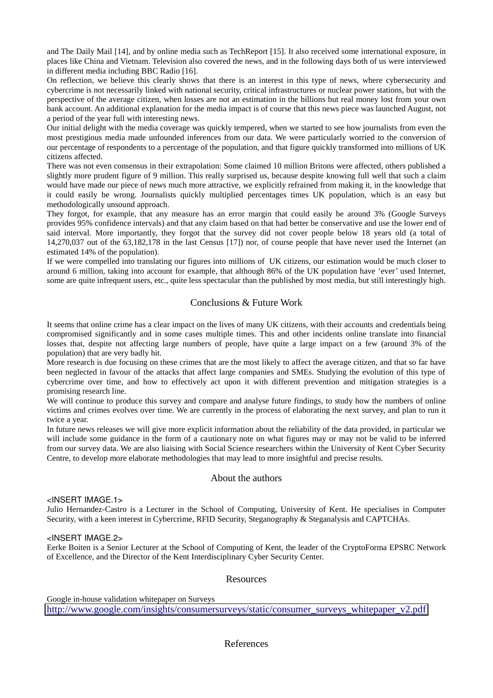and The Daily Mail [14], and by online media such as TechReport [15]. It also received some international exposure, in places like China and Vietnam. Television also covered the news, and in the following days both of us were interviewed in different media including BBC Radio [16].

On reflection, we believe this clearly shows that there is an interest in this type of news, where cybersecurity and cybercrime is not necessarily linked with national security, critical infrastructures or nuclear power stations, but with the perspective of the average citizen, when losses are not an estimation in the billions but real money lost from your own bank account. An additional explanation for the media impact is of course that this news piece was launched August, not a period of the year full with interesting news.

Our initial delight with the media coverage was quickly tempered, when we started to see how journalists from even the most prestigious media made unfounded inferences from our data. We were particularly worried to the conversion of our percentage of respondents to a percentage of the population, and that figure quickly transformed into millions of UK citizens affected.

There was not even consensus in their extrapolation: Some claimed 10 million Britons were affected, others published a slightly more prudent figure of 9 million. This really surprised us, because despite knowing full well that such a claim would have made our piece of news much more attractive, we explicitly refrained from making it, in the knowledge that it could easily be wrong. Journalists quickly multiplied percentages times UK population, which is an easy but methodologically unsound approach.

They forgot, for example, that any measure has an error margin that could easily be around 3% (Google Surveys provides 95% confidence intervals) and that any claim based on that had better be conservative and use the lower end of said interval. More importantly, they forgot that the survey did not cover people below 18 years old (a total of 14,270,037 out of the 63,182,178 in the last Census [17]) nor, of course people that have never used the Internet (an estimated 14% of the population).

If we were compelled into translating our figures into millions of UK citizens, our estimation would be much closer to around 6 million, taking into account for example, that although 86% of the UK population have 'ever' used Internet, some are quite infrequent users, etc., quite less spectacular than the published by most media, but still interestingly high.

#### Conclusions & Future Work

It seems that online crime has a clear impact on the lives of many UK citizens, with their accounts and credentials being compromised significantly and in some cases multiple times. This and other incidents online translate into financial losses that, despite not affecting large numbers of people, have quite a large impact on a few (around 3% of the population) that are very badly hit.

More research is due focusing on these crimes that are the most likely to affect the average citizen, and that so far have been neglected in favour of the attacks that affect large companies and SMEs. Studying the evolution of this type of cybercrime over time, and how to effectively act upon it with different prevention and mitigation strategies is a promising research line.

We will continue to produce this survey and compare and analyse future findings, to study how the numbers of online victims and crimes evolves over time. We are currently in the process of elaborating the next survey, and plan to run it twice a year.

In future news releases we will give more explicit information about the reliability of the data provided, in particular we will include some guidance in the form of a cautionary note on what figures may or may not be valid to be inferred from our survey data. We are also liaising with Social Science researchers within the University of Kent Cyber Security Centre, to develop more elaborate methodologies that may lead to more insightful and precise results.

#### About the authors

#### <INSERT IMAGE.1>

Julio Hernandez-Castro is a Lecturer in the School of Computing, University of Kent. He specialises in Computer Security, with a keen interest in Cybercrime, RFID Security, Steganography & Steganalysis and CAPTCHAs.

#### <INSERT IMAGE.2>

Eerke Boiten is a Senior Lecturer at the School of Computing of Kent, the leader of the CryptoForma EPSRC Network of Excellence, and the Director of the Kent Interdisciplinary Cyber Security Center.

#### Resources

Google in-house validation whitepaper on Surveys [http://www.google.com/insights/consumersurveys/static/consumer\\_surveys\\_whitepaper\\_v2.pdf](http://www.google.com/insights/consumersurveys/static/consumer_surveys_whitepaper_v2.pdf)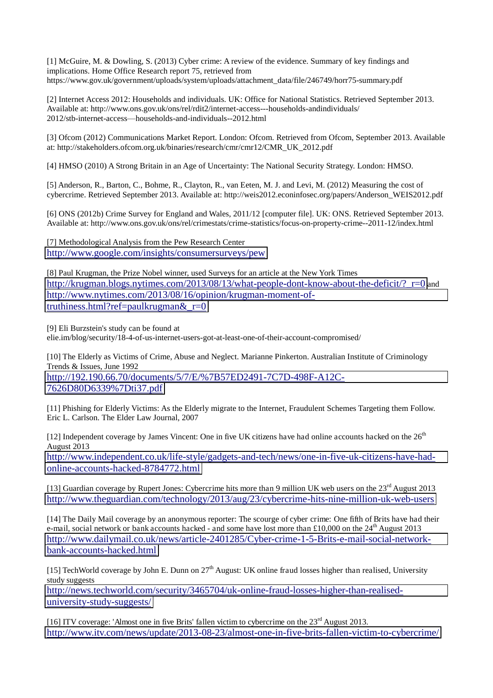[1] McGuire, M. & Dowling, S. (2013) Cyber crime: A review of the evidence. Summary of key findings and implications. Home Office Research report 75, retrieved from https://www.gov.uk/government/uploads/system/uploads/attachment\_data/file/246749/horr75-summary.pdf

[2] Internet Access 2012: Households and individuals. UK: Office for National Statistics. Retrieved September 2013. Available at: http://www.ons.gov.uk/ons/rel/rdit2/internet-access---households-andindividuals/ 2012/stb-internet-access—households-and-individuals--2012.html

[3] Ofcom (2012) Communications Market Report. London: Ofcom. Retrieved from Ofcom, September 2013. Available at: http://stakeholders.ofcom.org.uk/binaries/research/cmr/cmr12/CMR\_UK\_2012.pdf

[4] HMSO (2010) A Strong Britain in an Age of Uncertainty: The National Security Strategy. London: HMSO.

[5] Anderson, R., Barton, C., Bohme, R., Clayton, R., van Eeten, M. J. and Levi, M. (2012) Measuring the cost of cybercrime. Retrieved September 2013. Available at: http://weis2012.econinfosec.org/papers/Anderson\_WEIS2012.pdf

[6] ONS (2012b) Crime Survey for England and Wales, 2011/12 [computer file]. UK: ONS. Retrieved September 2013. Available at: http://www.ons.gov.uk/ons/rel/crimestats/crime-statistics/focus-on-property-crime--2011-12/index.html

[7] Methodological Analysis from the Pew Research Center <http://www.google.com/insights/consumersurveys/pew>

[8] Paul Krugman, the Prize Nobel winner, used Surveys for an article at the New York Times [http://krugman.blogs.nytimes.com/2013/08/13/what-people-dont-know-about-the-deficit/?\\_r=0](http://krugman.blogs.nytimes.com/2013/08/13/what-people-dont-know-about-the-deficit/?_r=0) and [http://www.nytimes.com/2013/08/16/opinion/krugman-moment-of](http://www.nytimes.com/2013/08/16/opinion/krugman-moment-of-truthiness.html?ref=paulkrugman&_r=0)truthiness.html?ref=paulkrugman $&r=0$ 

[9] Eli Burzstein's study can be found at elie.im/blog/security/18-4-of-us-internet-users-got-at-least-one-of-their-account-compromised/

[10] The Elderly as Victims of Crime, Abuse and Neglect. Marianne Pinkerton. Australian Institute of Criminology Trends & Issues, June 1992 [http://192.190.66.70/documents/5/7/E/%7B57ED2491-7C7D-498F-A12C-](http://192.190.66.70/documents/5/7/E/%7B57ED2491-7C7D-498F-A12C-7626D80D6339%7Dti37.pdf)

[7626D80D6339%7Dti37.pdf](http://192.190.66.70/documents/5/7/E/%7B57ED2491-7C7D-498F-A12C-7626D80D6339%7Dti37.pdf)

[11] Phishing for Elderly Victims: As the Elderly migrate to the Internet, Fraudulent Schemes Targeting them Follow. Eric L. Carlson. The Elder Law Journal, 2007

[12] Independent coverage by James Vincent: One in five UK citizens have had online accounts hacked on the 26<sup>th</sup> August 2013

[http://www.independent.co.uk/life-style/gadgets-and-tech/news/one-in-five-uk-citizens-have-had](http://www.independent.co.uk/life-style/gadgets-and-tech/news/one-in-five-uk-citizens-have-had-online-accounts-hacked-8784772.html)[online-accounts-hacked-8784772.html](http://www.independent.co.uk/life-style/gadgets-and-tech/news/one-in-five-uk-citizens-have-had-online-accounts-hacked-8784772.html)

[13] Guardian coverage by Rupert Jones: Cybercrime hits more than 9 million UK web users on the 23rd August 2013 <http://www.theguardian.com/technology/2013/aug/23/cybercrime-hits-nine-million-uk-web-users>

[14] The Daily Mail coverage by an anonymous reporter: The scourge of cyber crime: One fifth of Brits have had their e-mail, social network or bank accounts hacked - and some have lost more than £10,000 on the  $24<sup>th</sup>$  August 2013 [http://www.dailymail.co.uk/news/article-2401285/Cyber-crime-1-5-Brits-e-mail-social-network](http://www.dailymail.co.uk/news/article-2401285/Cyber-crime-1-5-Brits-e-mail-social-network-bank-accounts-hacked.html)[bank-accounts-hacked.html](http://www.dailymail.co.uk/news/article-2401285/Cyber-crime-1-5-Brits-e-mail-social-network-bank-accounts-hacked.html)

[15] TechWorld coverage by John E. Dunn on  $27<sup>th</sup>$  August: UK online fraud losses higher than realised, University study suggests

[http://news.techworld.com/security/3465704/uk-online-fraud-losses-higher-than-realised](http://news.techworld.com/security/3465704/uk-online-fraud-losses-higher-than-realised-university-study-suggests/)[university-study-suggests/](http://news.techworld.com/security/3465704/uk-online-fraud-losses-higher-than-realised-university-study-suggests/)

[16] ITV coverage: 'Almost one in five Brits' fallen victim to cybercrime on the 23<sup>rd</sup> August 2013. <http://www.itv.com/news/update/2013-08-23/almost-one-in-five-brits-fallen-victim-to-cybercrime/>